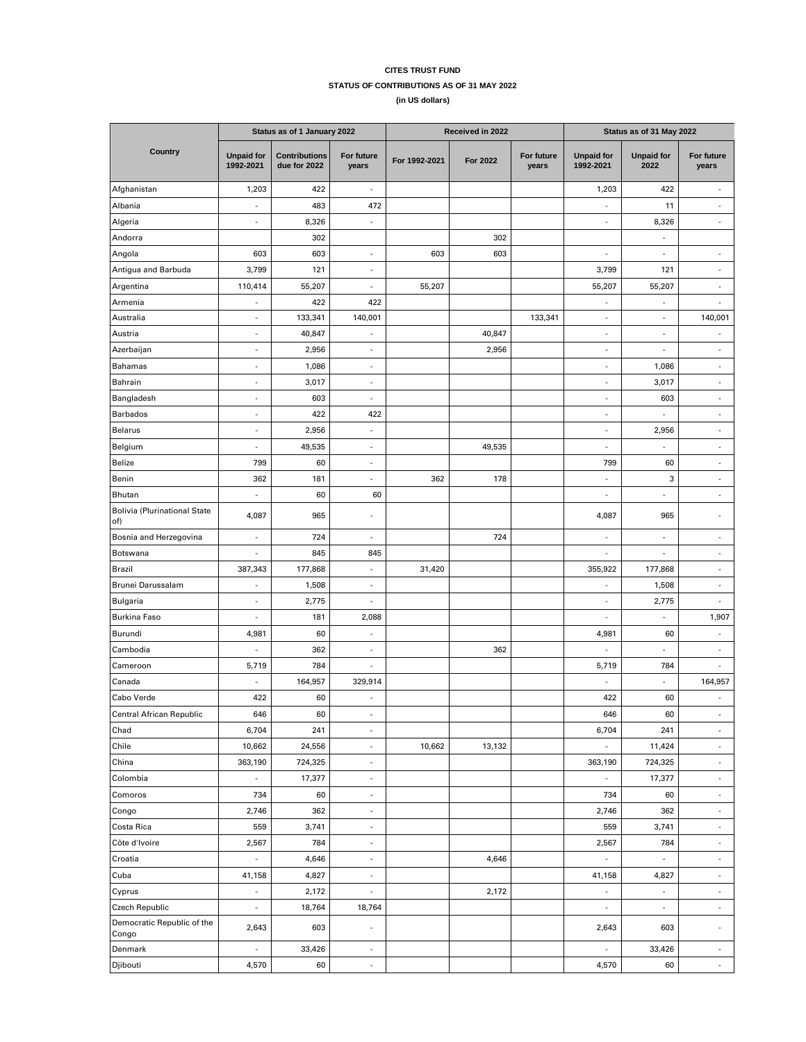## **CITES TRUST FUND STATUS OF CONTRIBUTIONS AS OF 31 MAY 2022**

**(in US dollars)**

|                                            | Status as of 1 January 2022    |                                      |                          | Received in 2022 |          |                     | Status as of 31 May 2022       |                           |                          |
|--------------------------------------------|--------------------------------|--------------------------------------|--------------------------|------------------|----------|---------------------|--------------------------------|---------------------------|--------------------------|
| Country                                    | <b>Unpaid for</b><br>1992-2021 | <b>Contributions</b><br>due for 2022 | For future<br>years      | For 1992-2021    | For 2022 | For future<br>years | <b>Unpaid for</b><br>1992-2021 | <b>Unpaid for</b><br>2022 | For future<br>years      |
| Afghanistan                                | 1,203                          | 422                                  | ä,                       |                  |          |                     | 1,203                          | 422                       |                          |
| Albania                                    | $\overline{\phantom{a}}$       | 483                                  | 472                      |                  |          |                     | ÷                              | 11                        | $\overline{a}$           |
| Algeria                                    | $\blacksquare$                 | 8,326                                | ä,                       |                  |          |                     | ÷,                             | 8,326                     | ÷,                       |
| Andorra                                    |                                | 302                                  |                          |                  | 302      |                     |                                | $\overline{\phantom{a}}$  |                          |
| Angola                                     | 603                            | 603                                  | $\overline{\phantom{a}}$ | 603              | 603      |                     | ÷.                             | $\overline{\phantom{a}}$  | $\overline{\phantom{a}}$ |
| Antigua and Barbuda                        | 3,799                          | 121                                  | ÷,                       |                  |          |                     | 3,799                          | 121                       | $\overline{\phantom{a}}$ |
| Argentina                                  | 110,414                        | 55,207                               | ä,                       | 55,207           |          |                     | 55,207                         | 55,207                    | $\overline{\phantom{a}}$ |
| Armenia                                    | ä,                             | 422                                  | 422                      |                  |          |                     | ÷,                             | $\overline{\phantom{a}}$  | ä,                       |
| Australia                                  | ä,                             | 133,341                              | 140,001                  |                  |          | 133,341             | ÷,                             | $\overline{\phantom{a}}$  | 140,001                  |
| Austria                                    | ä,                             | 40,847                               | ÷,                       |                  | 40,847   |                     | ÷,                             | $\overline{\phantom{a}}$  | ٠                        |
| Azerbaijan                                 | $\overline{\phantom{a}}$       | 2,956                                | $\overline{\phantom{a}}$ |                  | 2,956    |                     | $\overline{\phantom{a}}$       | $\overline{\phantom{a}}$  | $\overline{\phantom{a}}$ |
| Bahamas                                    | ÷,                             | 1,086                                | i,                       |                  |          |                     | ä,                             | 1,086                     | ÷,                       |
| Bahrain                                    | ÷,                             | 3,017                                | ä,                       |                  |          |                     | ÷,                             | 3,017                     | ÷,                       |
| Bangladesh                                 | ä,                             | 603                                  | ä,                       |                  |          |                     | ÷,                             | 603                       | ÷,                       |
| <b>Barbados</b>                            | ÷,                             | 422                                  | 422                      |                  |          |                     | ä,                             |                           | $\overline{\phantom{a}}$ |
| <b>Belarus</b>                             | ÷,                             | 2,956                                | ÷,                       |                  |          |                     | ÷,                             | 2,956                     | ÷,                       |
| Belgium                                    | ä,                             | 49,535                               | $\overline{\phantom{a}}$ |                  | 49,535   |                     | ä,                             | ÷,                        | $\overline{\phantom{a}}$ |
| Belize                                     | 799                            | 60                                   | ÷,                       |                  |          |                     | 799                            | 60                        | $\overline{\phantom{a}}$ |
| Benin                                      | 362                            | 181                                  | ä,                       | 362              | 178      |                     | ä,                             | 3                         | ÷,                       |
| <b>Bhutan</b>                              | ÷,                             | 60                                   | 60                       |                  |          |                     | ä,                             | ×,                        | $\overline{\phantom{a}}$ |
| <b>Bolivia (Plurinational State</b><br>of) | 4,087                          | 965                                  | ٠                        |                  |          |                     | 4,087                          | 965                       |                          |
| Bosnia and Herzegovina                     | ÷,                             | 724                                  | ÷,                       |                  | 724      |                     | L,                             | ×,                        | ×,                       |
| Botswana                                   | $\overline{\phantom{a}}$       | 845                                  | 845                      |                  |          |                     | ÷                              | $\overline{\phantom{a}}$  | $\frac{1}{2}$            |
| <b>Brazil</b>                              | 387,343                        | 177,868                              | ä,                       | 31,420           |          |                     | 355,922                        | 177,868                   | $\overline{\phantom{a}}$ |
| Brunei Darussalam                          | ÷                              | 1,508                                | $\overline{\phantom{a}}$ |                  |          |                     | ÷                              | 1,508                     | $\overline{\phantom{a}}$ |
| <b>Bulgaria</b>                            | $\overline{\phantom{a}}$       | 2,775                                | $\overline{\phantom{a}}$ |                  |          |                     | ÷,                             | 2,775                     | $\overline{\phantom{a}}$ |
| <b>Burkina Faso</b>                        | ÷,                             | 181                                  | 2,088                    |                  |          |                     | ÷,                             | $\overline{\phantom{a}}$  | 1,907                    |
| Burundi                                    | 4,981                          | 60                                   | ÷,                       |                  |          |                     | 4,981                          | 60                        | $\overline{\phantom{a}}$ |
| Cambodia                                   | $\overline{\phantom{a}}$       | 362                                  | $\overline{\phantom{a}}$ |                  | 362      |                     | ÷                              | $\overline{\phantom{a}}$  | $\overline{\phantom{a}}$ |
| Cameroon                                   | 5,719                          | 784                                  | $\overline{\phantom{a}}$ |                  |          |                     | 5,719                          | 784                       | ÷,                       |
| Canada                                     | ä,                             | 164,957                              | 329,914                  |                  |          |                     | ä,                             | $\overline{\phantom{a}}$  | 164,957                  |
| Cabo Verde                                 | 422                            | 60                                   | ä,                       |                  |          |                     | 422                            | 60                        |                          |
| Central African Republic                   | 646                            | 60                                   |                          |                  |          |                     | 646                            | 60                        |                          |
| Chad                                       | 6,704                          | 241                                  | L,                       |                  |          |                     | 6,704                          | 241                       | ä,                       |
| Chile                                      | 10,662                         | 24,556                               | $\overline{\phantom{a}}$ | 10,662           | 13,132   |                     | $\overline{\phantom{a}}$       | 11,424                    | $\overline{\phantom{a}}$ |
| China                                      | 363,190                        | 724,325                              | ä,                       |                  |          |                     | 363,190                        | 724,325                   | $\overline{\phantom{a}}$ |
| Colombia                                   |                                | 17,377                               | ÷,                       |                  |          |                     | $\overline{\phantom{a}}$       | 17,377                    | $\overline{\phantom{a}}$ |
| Comoros                                    | 734                            | 60                                   | ÷,                       |                  |          |                     | 734                            | 60                        | $\overline{\phantom{a}}$ |
| Congo                                      | 2,746                          | 362                                  | $\overline{\phantom{a}}$ |                  |          |                     | 2,746                          | 362                       | $\overline{\phantom{a}}$ |
| Costa Rica                                 | 559                            | 3,741                                | $\bar{a}$                |                  |          |                     | 559                            | 3,741                     | $\overline{\phantom{a}}$ |
| Côte d'Ivoire                              | 2,567                          | 784                                  | $\overline{\phantom{a}}$ |                  |          |                     | 2,567                          | 784                       | $\overline{\phantom{a}}$ |
| Croatia                                    | ÷,                             | 4,646                                | ÷,                       |                  | 4,646    |                     | $\overline{\phantom{a}}$       | $\overline{\phantom{a}}$  | $\overline{\phantom{a}}$ |
| Cuba                                       | 41,158                         | 4,827                                | ÷                        |                  |          |                     | 41,158                         | 4,827                     | ÷,                       |
| Cyprus                                     | ÷,                             | 2,172                                | ÷                        |                  | 2,172    |                     | ÷                              | $\overline{\phantom{a}}$  | ÷,                       |
| <b>Czech Republic</b>                      | $\overline{\phantom{a}}$       | 18,764                               | 18,764                   |                  |          |                     | ÷,                             | $\overline{\phantom{a}}$  | $\overline{\phantom{a}}$ |
| Democratic Republic of the<br>Congo        | 2,643                          | 603                                  | ä,                       |                  |          |                     | 2,643                          | 603                       | $\overline{\phantom{a}}$ |
| Denmark                                    | $\overline{\phantom{a}}$       | 33,426                               | $\blacksquare$           |                  |          |                     | $\overline{\phantom{a}}$       | 33,426                    | $\blacksquare$           |
| Djibouti                                   | 4,570                          | 60                                   | $\overline{\phantom{a}}$ |                  |          |                     | 4,570                          | 60                        | $\overline{\phantom{a}}$ |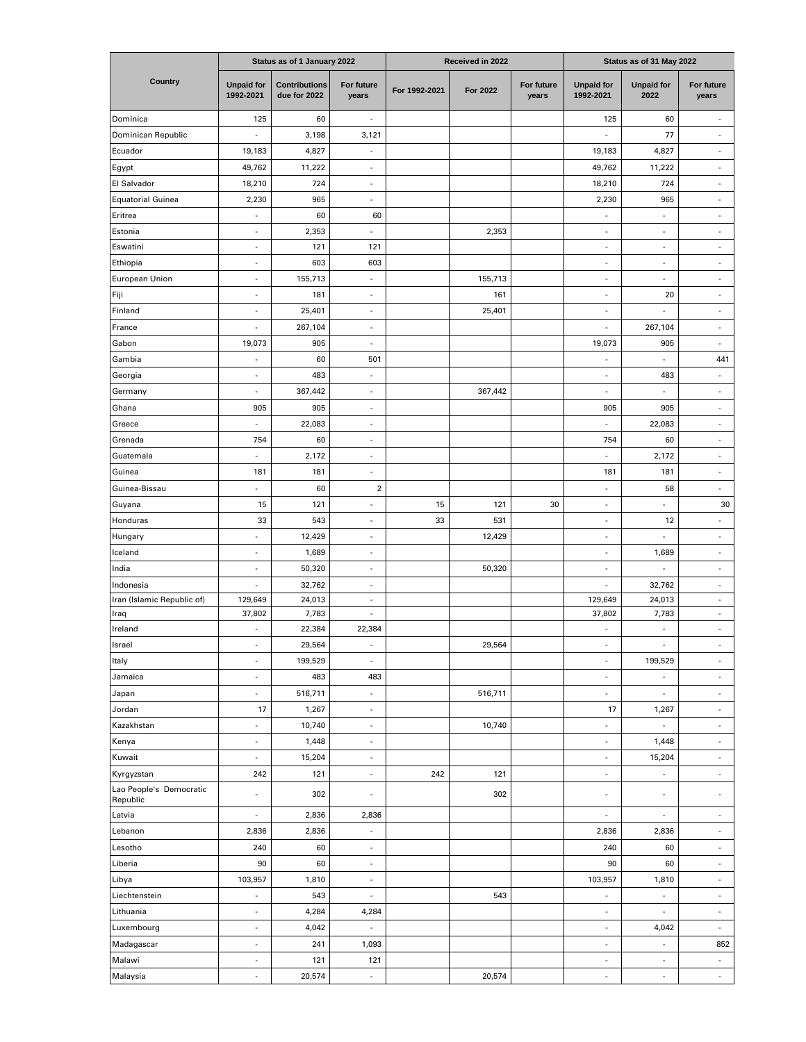|                                     | Status as of 1 January 2022    |                                      |                          | Received in 2022 |          |                     | Status as of 31 May 2022       |                           |                             |
|-------------------------------------|--------------------------------|--------------------------------------|--------------------------|------------------|----------|---------------------|--------------------------------|---------------------------|-----------------------------|
| Country                             | <b>Unpaid for</b><br>1992-2021 | <b>Contributions</b><br>due for 2022 | For future<br>years      | For 1992-2021    | For 2022 | For future<br>years | <b>Unpaid for</b><br>1992-2021 | <b>Unpaid for</b><br>2022 | For future<br>years         |
| Dominica                            | 125                            | 60                                   | $\overline{\phantom{a}}$ |                  |          |                     | 125                            | 60                        | $\overline{\phantom{a}}$    |
| Dominican Republic                  | ä,                             | 3,198                                | 3,121                    |                  |          |                     | ł,                             | 77                        | ÷,                          |
| Ecuador                             | 19,183                         | 4,827                                | $\overline{\phantom{a}}$ |                  |          |                     | 19,183                         | 4,827                     | ä,                          |
| Egypt                               | 49,762                         | 11,222                               | ä,                       |                  |          |                     | 49,762                         | 11,222                    | ä,                          |
| El Salvador                         | 18,210                         | 724                                  | ä,                       |                  |          |                     | 18,210                         | 724                       | ä,                          |
| <b>Equatorial Guinea</b>            | 2,230                          | 965                                  | ä,                       |                  |          |                     | 2,230                          | 965                       | ä,                          |
| Eritrea                             | $\overline{\phantom{a}}$       | 60                                   | 60                       |                  |          |                     | $\overline{\phantom{a}}$       | $\overline{\phantom{a}}$  | $\centerdot$                |
| Estonia                             | $\blacksquare$                 | 2,353                                | $\overline{\phantom{a}}$ |                  | 2,353    |                     | $\blacksquare$                 | ÷                         | ÷,                          |
| Eswatini                            | ÷,                             | 121                                  | 121                      |                  |          |                     | ä,                             | ä,                        | ä,                          |
| Ethiopia                            | ÷,                             | 603                                  | 603                      |                  |          |                     | ÷,                             | ×.                        | ÷,                          |
| European Union                      | $\blacksquare$                 | 155,713                              | $\blacksquare$           |                  | 155,713  |                     | ÷,                             | ÷,                        | ÷,                          |
| Fiji                                | ÷,                             | 181                                  | ä,                       |                  | 161      |                     | ÷,                             | 20                        | ÷,                          |
| Finland                             | ÷,                             | 25,401                               | ÷,                       |                  | 25,401   |                     | ÷,                             | $\sim$                    |                             |
| France                              | ×,                             | 267,104                              | ÷,                       |                  |          |                     | ÷,                             | 267,104                   | ٠                           |
| Gabon                               | 19,073                         | 905                                  | $\overline{\phantom{a}}$ |                  |          |                     | 19,073                         | 905                       | ÷                           |
| Gambia                              | ٠                              | 60                                   | 501                      |                  |          |                     | ä,                             | $\sim$                    | 441                         |
| Georgia                             | $\sim$                         | 483                                  | ä,                       |                  |          |                     | ÷,                             | 483                       | ä,                          |
| Germany                             | ä,                             | 367,442<br>905                       | ä,<br>ä,                 |                  | 367,442  |                     | ä,<br>905                      |                           | ä,                          |
| Ghana<br>Greece                     | 905<br>L,                      | 22,083                               | ä,                       |                  |          |                     | ä,                             | 905<br>22,083             | ä,                          |
| Grenada                             | 754                            | 60                                   | ÷,                       |                  |          |                     | 754                            | 60                        | $\overline{\phantom{a}}$    |
| Guatemala                           | ä,                             | 2,172                                | ÷,                       |                  |          |                     | ä,                             | 2,172                     | ÷,                          |
| Guinea                              | 181                            | 181                                  | $\overline{\phantom{m}}$ |                  |          |                     | 181                            | 181                       | $\overline{\phantom{m}}$    |
| Guinea-Bissau                       | $\qquad \qquad \blacksquare$   | 60                                   | $\overline{\mathbf{c}}$  |                  |          |                     | $\overline{\phantom{m}}$       | 58                        | $\overline{\phantom{a}}$    |
| Guyana                              | 15                             | 121                                  | $\overline{\phantom{a}}$ | 15               | 121      | 30                  | $\overline{\phantom{a}}$       | ٠                         | 30                          |
| Honduras                            | 33                             | 543                                  | $\overline{\phantom{a}}$ | 33               | 531      |                     | $\centerdot$                   | 12                        | $\overline{\phantom{a}}$    |
| Hungary                             | L,                             | 12,429                               | ä,                       |                  | 12,429   |                     | ÷,                             | $\sim$                    | ÷,                          |
| Iceland                             | ä,                             | 1,689                                | ä,                       |                  |          |                     | ä,                             | 1,689                     | ä,                          |
| India                               | $\sim$                         | 50,320                               | ÷,                       |                  | 50,320   |                     | ÷,                             | $\overline{\phantom{a}}$  | $\centerdot$                |
| Indonesia                           | ÷,                             | 32,762                               | ä,                       |                  |          |                     | ÷                              | 32,762                    | ÷,                          |
| Iran (Islamic Republic of)          | 129,649                        | 24,013                               | $\overline{\phantom{a}}$ |                  |          |                     | 129,649                        | 24,013                    | $\overline{\phantom{a}}$    |
| Iraq                                | 37,802                         | 7,783                                | ÷,                       |                  |          |                     | 37,802                         | 7,783                     | $\sim$                      |
| Ireland                             | ä,                             | 22,384                               | 22,384                   |                  |          |                     | ä,                             | $\sim$                    | ä,                          |
| Israel                              | $\overline{\phantom{a}}$       | 29,564                               | $\overline{\phantom{a}}$ |                  | 29,564   |                     | $\overline{\phantom{a}}$       | ٠                         | $\overline{\phantom{a}}$    |
| Italy                               | ä,                             | 199,529                              | $\blacksquare$           |                  |          |                     | ÷,                             | 199,529                   | $\blacksquare$              |
| Jamaica                             | ä,                             | 483                                  | 483                      |                  |          |                     | ÷                              |                           | $\overline{\phantom{a}}$    |
| Japan                               | $\blacksquare$                 | 516,711                              | $\blacksquare$           |                  | 516,711  |                     | $\overline{\phantom{a}}$       | $\blacksquare$            | $\overline{\phantom{a}}$    |
| Jordan                              | 17                             | 1,267                                | $\overline{\phantom{a}}$ |                  |          |                     | 17                             | 1,267                     | $\overline{\phantom{a}}$    |
| Kazakhstan                          | $\overline{\phantom{a}}$       | 10,740                               | $\overline{\phantom{a}}$ |                  | 10,740   |                     | ÷,                             | $\blacksquare$            | $\overline{\phantom{a}}$    |
| Kenya                               | $\blacksquare$                 | 1,448                                | $\overline{\phantom{a}}$ |                  |          |                     | $\overline{\phantom{a}}$       | 1,448                     | ÷.                          |
| Kuwait                              | ÷,                             | 15,204                               | $\overline{\phantom{a}}$ |                  |          |                     | ä,                             | 15,204                    | ÷.                          |
| Kyrgyzstan                          | 242                            | 121                                  | $\overline{\phantom{a}}$ | 242              | 121      |                     | ÷,                             | $\overline{\phantom{a}}$  | ÷,                          |
| Lao People's Democratic<br>Republic | ä,                             | 302                                  | ä                        |                  | 302      |                     | ä,                             | $\sim$                    | ÷,                          |
| Latvia                              | i,                             | 2,836                                | 2,836                    |                  |          |                     | $\overline{\phantom{a}}$       | $\blacksquare$            | $\blacksquare$              |
| Lebanon                             | 2,836                          | 2,836                                | $\overline{\phantom{a}}$ |                  |          |                     | 2,836                          | 2,836                     | ÷                           |
| Lesotho                             | 240                            | 60                                   | $\overline{\phantom{a}}$ |                  |          |                     | 240                            | 60                        | ÷,                          |
| Liberia                             | 90                             | 60                                   | $\overline{\phantom{a}}$ |                  |          |                     | 90                             | 60                        | $\overline{\phantom{a}}$    |
| Libya                               | 103,957                        | 1,810                                | $\overline{\phantom{a}}$ |                  |          |                     | 103,957                        | 1,810                     | $\overline{\phantom{a}}$    |
| Liechtenstein                       | ÷.                             | 543                                  | $\sim$                   |                  | 543      |                     | $\overline{\phantom{a}}$       | $\overline{\phantom{a}}$  | $\overline{\phantom{a}}$    |
| Lithuania                           | ×,                             | 4,284                                | 4,284                    |                  |          |                     | ä,                             | ×.                        | $\mathcal{L}_{\mathcal{A}}$ |
| Luxembourg                          | ÷,                             | 4,042                                | $\blacksquare$           |                  |          |                     | ÷,                             | 4,042                     | $\overline{\phantom{a}}$    |
| Madagascar                          | ä,                             | 241                                  | 1,093                    |                  |          |                     | $\centerdot$                   | $\sim$                    | 852                         |
| Malawi                              | ÷,                             | 121                                  | 121                      |                  |          |                     | ÷,                             | ×,                        | $\overline{\phantom{a}}$    |
| Malaysia                            | ÷,                             | 20,574                               | ÷,                       |                  | 20,574   |                     | ÷,                             | $\overline{\phantom{a}}$  | $\omega$                    |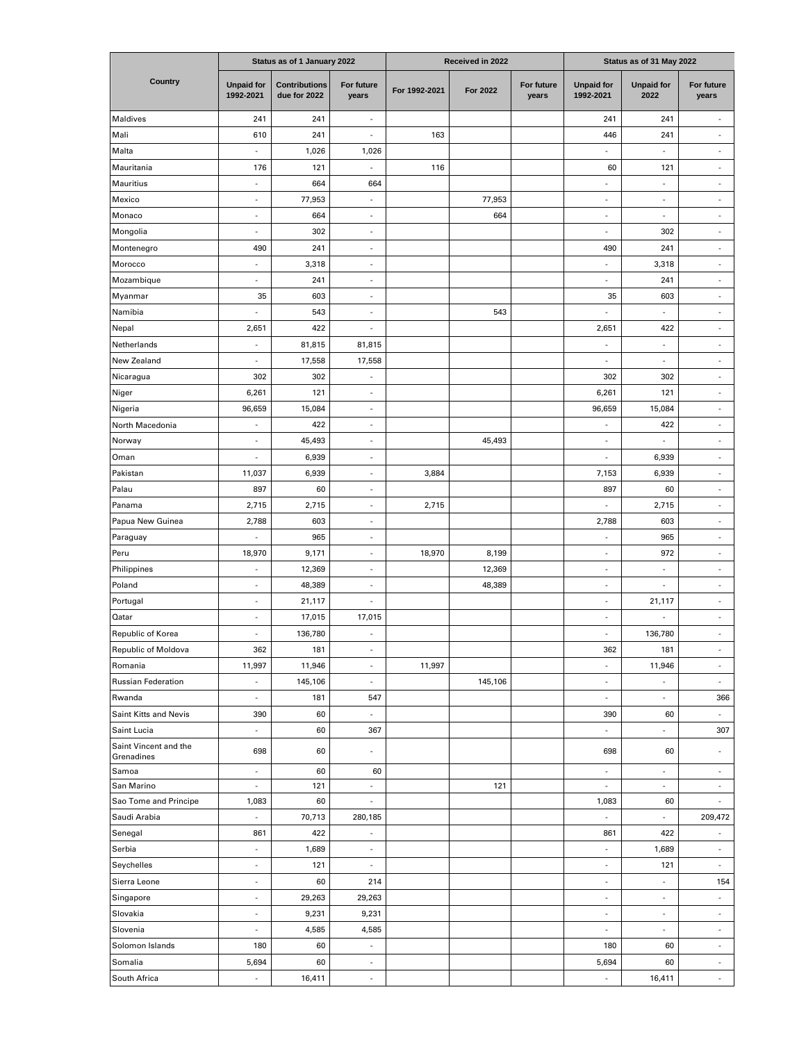|                                     | Status as of 1 January 2022    |                                      |                          | Received in 2022 |          |                     | Status as of 31 May 2022       |                           |                          |
|-------------------------------------|--------------------------------|--------------------------------------|--------------------------|------------------|----------|---------------------|--------------------------------|---------------------------|--------------------------|
| Country                             | <b>Unpaid for</b><br>1992-2021 | <b>Contributions</b><br>due for 2022 | For future<br>years      | For 1992-2021    | For 2022 | For future<br>years | <b>Unpaid for</b><br>1992-2021 | <b>Unpaid for</b><br>2022 | For future<br>years      |
| Maldives                            | 241                            | 241                                  | $\overline{\phantom{a}}$ |                  |          |                     | 241                            | 241                       | $\overline{\phantom{a}}$ |
| Mali                                | 610                            | 241                                  | ÷,                       | 163              |          |                     | 446                            | 241                       | ÷,                       |
| Malta                               | ä,                             | 1,026                                | 1,026                    |                  |          |                     | ä,                             | $\overline{\phantom{a}}$  | ÷,                       |
| Mauritania                          | 176                            | 121                                  | J.                       | 116              |          |                     | 60                             | 121                       | ä,                       |
| Mauritius                           | ä,                             | 664                                  | 664                      |                  |          |                     | ä,                             | ×.                        | ä,                       |
| Mexico                              | ÷,                             | 77,953                               | ÷,                       |                  | 77,953   |                     | ÷,                             | ×.                        | ä,                       |
| Monaco                              | $\blacksquare$                 | 664                                  | ÷,                       |                  | 664      |                     | ÷,                             | $\overline{\phantom{a}}$  | $\centerdot$             |
| Mongolia                            | $\overline{\phantom{a}}$       | 302                                  | ÷,                       |                  |          |                     | ÷,                             | 302                       | ÷,                       |
| Montenegro                          | 490                            | 241                                  | ÷,                       |                  |          |                     | 490                            | 241                       | ÷,                       |
| Morocco                             | $\blacksquare$                 | 3,318                                | ÷,                       |                  |          |                     | ÷,                             | 3,318                     | ÷,                       |
| Mozambique                          | ä,                             | 241                                  | ÷,                       |                  |          |                     | ä,                             | 241                       | ä,                       |
| Myanmar                             | 35                             | 603                                  | ä,                       |                  |          |                     | 35                             | 603                       | ä,                       |
| Namibia                             | ä,                             | 543                                  | ÷,                       |                  | 543      |                     |                                | $\sim$                    | ä,                       |
| Nepal                               | 2,651                          | 422                                  | ä                        |                  |          |                     | 2,651                          | 422                       | ä,                       |
| Netherlands                         | ÷,                             | 81,815                               | 81,815                   |                  |          |                     | ÷,                             | $\sim$                    |                          |
| New Zealand                         | ä,                             | 17,558                               | 17,558                   |                  |          |                     | ÷,                             | $\overline{\phantom{a}}$  | ä,                       |
| Nicaragua                           | 302                            | 302                                  | ä,                       |                  |          |                     | 302                            | 302                       | ä,                       |
| Niger                               | 6,261                          | 121                                  | ä,                       |                  |          |                     | 6,261                          | 121                       | ä,                       |
| Nigeria                             | 96,659                         | 15,084                               | $\overline{\phantom{a}}$ |                  |          |                     | 96,659                         | 15,084                    | $\frac{1}{2}$            |
| North Macedonia                     | ÷,                             | 422                                  | ÷,                       |                  |          |                     | ÷,                             | 422                       | $\overline{\phantom{a}}$ |
| Norway                              | $\overline{\phantom{a}}$       | 45,493                               | $\overline{\phantom{a}}$ |                  | 45,493   |                     | ÷,                             | ÷,                        | ÷,                       |
| Oman                                | $\overline{\phantom{a}}$       | 6,939                                | $\overline{\phantom{a}}$ |                  |          |                     | ÷,                             | 6,939                     | $\overline{\phantom{a}}$ |
| Pakistan                            | 11,037                         | 6,939                                | ÷,                       | 3,884            |          |                     | 7,153                          | 6,939                     | $\centerdot$             |
| Palau                               | 897                            | 60                                   | ÷,                       |                  |          |                     | 897                            | 60                        | $\centerdot$             |
| Panama                              | 2,715                          | 2,715                                | ÷,                       | 2,715            |          |                     |                                | 2,715                     | ÷,                       |
| Papua New Guinea                    | 2,788                          | 603                                  | ä,                       |                  |          |                     | 2,788                          | 603                       | ä,                       |
| Paraguay                            | ä,                             | 965                                  | ä,                       |                  |          |                     | ÷,                             | 965                       | ä,                       |
| Peru                                | 18,970                         | 9,171                                | ÷,                       | 18,970           | 8,199    |                     | ÷,                             | 972                       | $\centerdot$             |
| Philippines                         | ä,                             | 12,369                               | ä,                       |                  | 12,369   |                     | $\overline{\phantom{a}}$       | $\sim$                    | $\overline{\phantom{a}}$ |
| Poland                              | ÷,                             | 48,389                               | ÷,                       |                  | 48,389   |                     | ÷                              | ×,                        | ÷,                       |
| Portugal                            | ÷,                             | 21,117                               | ÷,                       |                  |          |                     | ÷,                             | 21,117                    | ÷,                       |
| Qatar                               | ×,                             | 17,015                               | 17,015                   |                  |          |                     | ÷,                             |                           | ÷,                       |
| Republic of Korea                   | ä,                             | 136,780                              | ä,                       |                  |          |                     | ä,                             | 136,780                   | ä,                       |
| Republic of Moldova                 | 362                            | 181                                  | ÷,                       |                  |          |                     | 362                            | 181                       | $\overline{\phantom{a}}$ |
| Romania                             | 11,997                         | 11,946                               | ä,                       | 11,997           |          |                     | ÷,                             | 11,946                    | ä,                       |
| <b>Russian Federation</b>           | $\overline{\phantom{a}}$       | 145,106                              | $\overline{\phantom{a}}$ |                  | 145,106  |                     | ÷,                             | $\overline{\phantom{a}}$  | $\frac{1}{2}$            |
| Rwanda                              | $\overline{\phantom{a}}$       | 181                                  | 547                      |                  |          |                     | ä,                             | $\overline{\phantom{a}}$  | 366                      |
| Saint Kitts and Nevis               | 390                            | 60                                   | $\sim$                   |                  |          |                     | 390                            | 60                        |                          |
| Saint Lucia                         | $\bar{a}$                      | 60                                   | 367                      |                  |          |                     | ٠                              | $\sim$                    | 307                      |
| Saint Vincent and the<br>Grenadines | 698                            | 60                                   | ä                        |                  |          |                     | 698                            | 60                        | $\frac{1}{2}$            |
| Samoa                               | ÷,                             | 60                                   | 60                       |                  |          |                     | ä,                             | ×.                        | $\overline{\phantom{a}}$ |
| San Marino                          | $\overline{\phantom{a}}$       | 121                                  | $\sim$                   |                  | 121      |                     | $\overline{\phantom{a}}$       | $\sim$                    | $\sim$                   |
| Sao Tome and Principe               | 1,083                          | 60                                   | ä,                       |                  |          |                     | 1,083                          | 60                        | ÷.                       |
| Saudi Arabia                        | ä,                             | 70,713                               | 280,185                  |                  |          |                     | ä,                             | ×.                        | 209,472                  |
| Senegal                             | 861                            | 422                                  | $\overline{\phantom{a}}$ |                  |          |                     | 861                            | 422                       | $\overline{\phantom{a}}$ |
| Serbia                              | ä,                             | 1,689                                | $\overline{\phantom{a}}$ |                  |          |                     | ä,                             | 1,689                     | $\overline{\phantom{a}}$ |
| Seychelles                          | i,                             | 121                                  | ÷,                       |                  |          |                     | ÷,                             | 121                       | $\overline{\phantom{a}}$ |
| Sierra Leone                        | ä,                             | 60                                   | 214                      |                  |          |                     | ÷,                             | ×.                        | 154                      |
| Singapore                           | ÷,                             | 29,263                               | 29,263                   |                  |          |                     | ÷,                             | $\overline{\phantom{a}}$  | $\overline{\phantom{a}}$ |
| Slovakia                            | ä,                             | 9,231                                | 9,231                    |                  |          |                     | ä,                             | $\sim$                    | ÷.                       |
| Slovenia                            | $\blacksquare$                 | 4,585                                | 4,585                    |                  |          |                     | ÷,                             | $\overline{\phantom{a}}$  | $\overline{\phantom{a}}$ |
| Solomon Islands                     | 180                            | 60                                   | $\overline{\phantom{a}}$ |                  |          |                     | 180                            | 60                        | $\overline{\phantom{a}}$ |
| Somalia                             | 5,694                          | 60                                   | $\overline{\phantom{a}}$ |                  |          |                     | 5,694                          | 60                        | $\sim$                   |
| South Africa                        | $\overline{\phantom{a}}$       | 16,411                               | $\overline{\phantom{a}}$ |                  |          |                     | ÷,                             | 16,411                    | ٠                        |